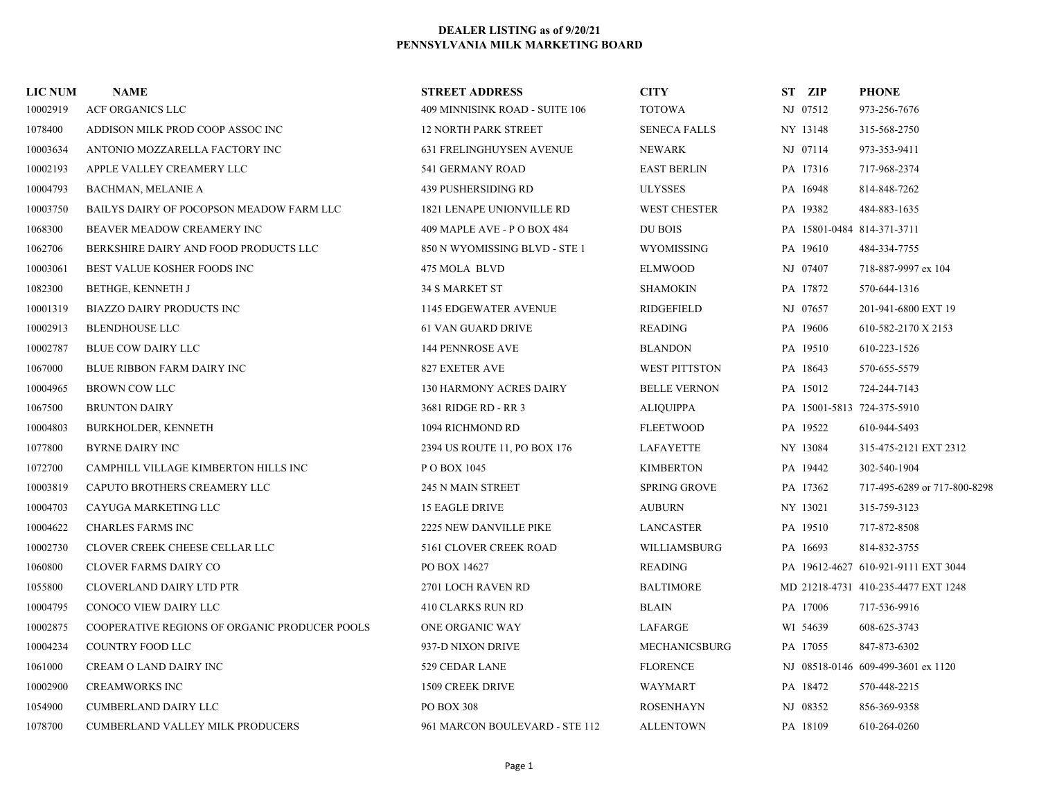| <b>LIC NUM</b> | <b>NAME</b>                                   | <b>STREET ADDRESS</b>           | <b>CITY</b>          | ST ZIP   | <b>PHONE</b>                        |
|----------------|-----------------------------------------------|---------------------------------|----------------------|----------|-------------------------------------|
| 10002919       | ACF ORGANICS LLC                              | 409 MINNISINK ROAD - SUITE 106  | <b>TOTOWA</b>        | NJ 07512 | 973-256-7676                        |
| 1078400        | ADDISON MILK PROD COOP ASSOC INC              | <b>12 NORTH PARK STREET</b>     | <b>SENECA FALLS</b>  | NY 13148 | 315-568-2750                        |
| 10003634       | ANTONIO MOZZARELLA FACTORY INC                | <b>631 FRELINGHUYSEN AVENUE</b> | <b>NEWARK</b>        | NJ 07114 | 973-353-9411                        |
| 10002193       | APPLE VALLEY CREAMERY LLC                     | 541 GERMANY ROAD                | <b>EAST BERLIN</b>   | PA 17316 | 717-968-2374                        |
| 10004793       | BACHMAN, MELANIE A                            | 439 PUSHERSIDING RD             | <b>ULYSSES</b>       | PA 16948 | 814-848-7262                        |
| 10003750       | BAILYS DAIRY OF POCOPSON MEADOW FARM LLC      | 1821 LENAPE UNIONVILLE RD       | <b>WEST CHESTER</b>  | PA 19382 | 484-883-1635                        |
| 1068300        | BEAVER MEADOW CREAMERY INC                    | 409 MAPLE AVE - P O BOX 484     | DU BOIS              |          | PA 15801-0484 814-371-3711          |
| 1062706        | BERKSHIRE DAIRY AND FOOD PRODUCTS LLC         | 850 N WYOMISSING BLVD - STE 1   | WYOMISSING           | PA 19610 | 484-334-7755                        |
| 10003061       | BEST VALUE KOSHER FOODS INC                   | 475 MOLA BLVD                   | ELMWOOD              | NJ 07407 | 718-887-9997 ex 104                 |
| 1082300        | BETHGE, KENNETH J                             | <b>34 S MARKET ST</b>           | <b>SHAMOKIN</b>      | PA 17872 | 570-644-1316                        |
| 10001319       | BIAZZO DAIRY PRODUCTS INC                     | 1145 EDGEWATER AVENUE           | RIDGEFIELD           | NJ 07657 | 201-941-6800 EXT 19                 |
| 10002913       | <b>BLENDHOUSE LLC</b>                         | <b>61 VAN GUARD DRIVE</b>       | <b>READING</b>       | PA 19606 | 610-582-2170 X 2153                 |
| 10002787       | <b>BLUE COW DAIRY LLC</b>                     | 144 PENNROSE AVE                | <b>BLANDON</b>       | PA 19510 | 610-223-1526                        |
| 1067000        | <b>BLUE RIBBON FARM DAIRY INC</b>             | 827 EXETER AVE                  | <b>WEST PITTSTON</b> | PA 18643 | 570-655-5579                        |
| 10004965       | <b>BROWN COW LLC</b>                          | <b>130 HARMONY ACRES DAIRY</b>  | <b>BELLE VERNON</b>  | PA 15012 | 724-244-7143                        |
| 1067500        | <b>BRUNTON DAIRY</b>                          | 3681 RIDGE RD - RR 3            | <b>ALIQUIPPA</b>     |          | PA 15001-5813 724-375-5910          |
| 10004803       | <b>BURKHOLDER, KENNETH</b>                    | 1094 RICHMOND RD                | <b>FLEETWOOD</b>     | PA 19522 | 610-944-5493                        |
| 1077800        | <b>BYRNE DAIRY INC</b>                        | 2394 US ROUTE 11, PO BOX 176    | LAFAYETTE            | NY 13084 | 315-475-2121 EXT 2312               |
| 1072700        | CAMPHILL VILLAGE KIMBERTON HILLS INC          | P O BOX 1045                    | <b>KIMBERTON</b>     | PA 19442 | 302-540-1904                        |
| 10003819       | CAPUTO BROTHERS CREAMERY LLC                  | 245 N MAIN STREET               | <b>SPRING GROVE</b>  | PA 17362 | 717-495-6289 or 717-800-8298        |
| 10004703       | CAYUGA MARKETING LLC                          | <b>15 EAGLE DRIVE</b>           | <b>AUBURN</b>        | NY 13021 | 315-759-3123                        |
| 10004622       | <b>CHARLES FARMS INC</b>                      | 2225 NEW DANVILLE PIKE          | <b>LANCASTER</b>     | PA 19510 | 717-872-8508                        |
| 10002730       | CLOVER CREEK CHEESE CELLAR LLC                | 5161 CLOVER CREEK ROAD          | WILLIAMSBURG         | PA 16693 | 814-832-3755                        |
| 1060800        | <b>CLOVER FARMS DAIRY CO</b>                  | PO BOX 14627                    | READING              |          | PA 19612-4627 610-921-9111 EXT 3044 |
| 1055800        | <b>CLOVERLAND DAIRY LTD PTR</b>               | 2701 LOCH RAVEN RD              | <b>BALTIMORE</b>     |          | MD 21218-4731 410-235-4477 EXT 1248 |
| 10004795       | CONOCO VIEW DAIRY LLC                         | 410 CLARKS RUN RD               | <b>BLAIN</b>         | PA 17006 | 717-536-9916                        |
| 10002875       | COOPERATIVE REGIONS OF ORGANIC PRODUCER POOLS | ONE ORGANIC WAY                 | LAFARGE              | WI 54639 | 608-625-3743                        |
| 10004234       | COUNTRY FOOD LLC                              | 937-D NIXON DRIVE               | <b>MECHANICSBURG</b> | PA 17055 | 847-873-6302                        |
| 1061000        | CREAM O LAND DAIRY INC                        | 529 CEDAR LANE                  | <b>FLORENCE</b>      |          | NJ 08518-0146 609-499-3601 ex 1120  |
| 10002900       | <b>CREAMWORKS INC</b>                         | 1509 CREEK DRIVE                | WAYMART              | PA 18472 | 570-448-2215                        |
| 1054900        | <b>CUMBERLAND DAIRY LLC</b>                   | PO BOX 308                      | <b>ROSENHAYN</b>     | NJ 08352 | 856-369-9358                        |
| 1078700        | <b>CUMBERLAND VALLEY MILK PRODUCERS</b>       | 961 MARCON BOULEVARD - STE 112  | <b>ALLENTOWN</b>     | PA 18109 | 610-264-0260                        |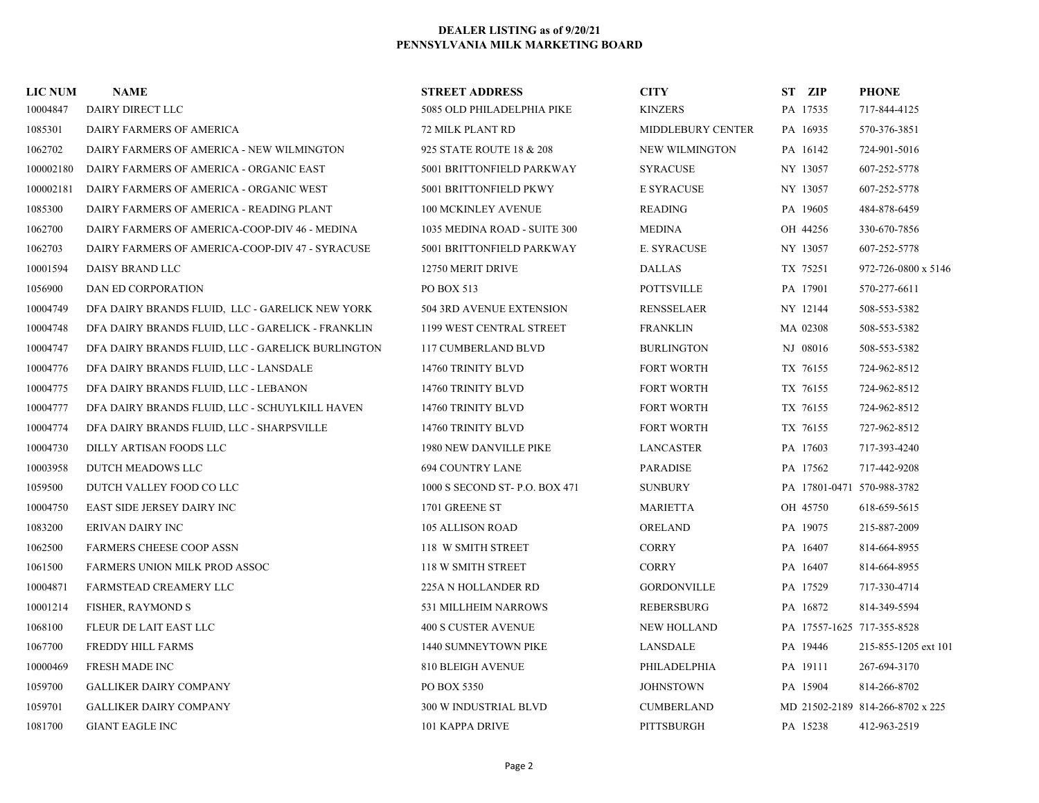| <b>LIC NUM</b> | <b>NAME</b>                                       | <b>STREET ADDRESS</b>          | <b>CITY</b>           | ST ZIP                     | <b>PHONE</b>                     |
|----------------|---------------------------------------------------|--------------------------------|-----------------------|----------------------------|----------------------------------|
| 10004847       | DAIRY DIRECT LLC                                  | 5085 OLD PHILADELPHIA PIKE     | <b>KINZERS</b>        | PA 17535                   | 717-844-4125                     |
| 1085301        | DAIRY FARMERS OF AMERICA                          | 72 MILK PLANT RD               | MIDDLEBURY CENTER     | PA 16935                   | 570-376-3851                     |
| 1062702        | DAIRY FARMERS OF AMERICA - NEW WILMINGTON         | 925 STATE ROUTE 18 & 208       | <b>NEW WILMINGTON</b> | PA 16142                   | 724-901-5016                     |
| 100002180      | DAIRY FARMERS OF AMERICA - ORGANIC EAST           | 5001 BRITTONFIELD PARKWAY      | <b>SYRACUSE</b>       | NY 13057                   | 607-252-5778                     |
| 100002181      | DAIRY FARMERS OF AMERICA - ORGANIC WEST           | 5001 BRITTONFIELD PKWY         | <b>E SYRACUSE</b>     | NY 13057                   | 607-252-5778                     |
| 1085300        | DAIRY FARMERS OF AMERICA - READING PLANT          | <b>100 MCKINLEY AVENUE</b>     | <b>READING</b>        | PA 19605                   | 484-878-6459                     |
| 1062700        | DAIRY FARMERS OF AMERICA-COOP-DIV 46 - MEDINA     | 1035 MEDINA ROAD - SUITE 300   | <b>MEDINA</b>         | OH 44256                   | 330-670-7856                     |
| 1062703        | DAIRY FARMERS OF AMERICA-COOP-DIV 47 - SYRACUSE   | 5001 BRITTONFIELD PARKWAY      | <b>E. SYRACUSE</b>    | NY 13057                   | 607-252-5778                     |
| 10001594       | DAISY BRAND LLC                                   | 12750 MERIT DRIVE              | <b>DALLAS</b>         | TX 75251                   | 972-726-0800 x 5146              |
| 1056900        | DAN ED CORPORATION                                | PO BOX 513                     | <b>POTTSVILLE</b>     | PA 17901                   | 570-277-6611                     |
| 10004749       | DFA DAIRY BRANDS FLUID, LLC - GARELICK NEW YORK   | 504 3RD AVENUE EXTENSION       | RENSSELAER            | NY 12144                   | 508-553-5382                     |
| 10004748       | DFA DAIRY BRANDS FLUID, LLC - GARELICK - FRANKLIN | 1199 WEST CENTRAL STREET       | <b>FRANKLIN</b>       | MA 02308                   | 508-553-5382                     |
| 10004747       | DFA DAIRY BRANDS FLUID, LLC - GARELICK BURLINGTON | <b>117 CUMBERLAND BLVD</b>     | <b>BURLINGTON</b>     | NJ 08016                   | 508-553-5382                     |
| 10004776       | DFA DAIRY BRANDS FLUID, LLC - LANSDALE            | 14760 TRINITY BLVD             | <b>FORT WORTH</b>     | TX 76155                   | 724-962-8512                     |
| 10004775       | DFA DAIRY BRANDS FLUID, LLC - LEBANON             | 14760 TRINITY BLVD             | <b>FORT WORTH</b>     | TX 76155                   | 724-962-8512                     |
| 10004777       | DFA DAIRY BRANDS FLUID, LLC - SCHUYLKILL HAVEN    | 14760 TRINITY BLVD             | FORT WORTH            | TX 76155                   | 724-962-8512                     |
| 10004774       | DFA DAIRY BRANDS FLUID, LLC - SHARPSVILLE         | 14760 TRINITY BLVD             | <b>FORT WORTH</b>     | TX 76155                   | 727-962-8512                     |
| 10004730       | DILLY ARTISAN FOODS LLC                           | 1980 NEW DANVILLE PIKE         | <b>LANCASTER</b>      | PA 17603                   | 717-393-4240                     |
| 10003958       | DUTCH MEADOWS LLC                                 | <b>694 COUNTRY LANE</b>        | <b>PARADISE</b>       | PA 17562                   | 717-442-9208                     |
| 1059500        | DUTCH VALLEY FOOD CO LLC                          | 1000 S SECOND ST- P.O. BOX 471 | <b>SUNBURY</b>        | PA 17801-0471 570-988-3782 |                                  |
| 10004750       | EAST SIDE JERSEY DAIRY INC                        | 1701 GREENE ST                 | MARIETTA              | OH 45750                   | 618-659-5615                     |
| 1083200        | <b>ERIVAN DAIRY INC</b>                           | <b>105 ALLISON ROAD</b>        | <b>ORELAND</b>        | PA 19075                   | 215-887-2009                     |
| 1062500        | <b>FARMERS CHEESE COOP ASSN</b>                   | 118 W SMITH STREET             | <b>CORRY</b>          | PA 16407                   | 814-664-8955                     |
| 1061500        | <b>FARMERS UNION MILK PROD ASSOC</b>              | 118 W SMITH STREET             | <b>CORRY</b>          | PA 16407                   | 814-664-8955                     |
| 10004871       | FARMSTEAD CREAMERY LLC                            | 225A N HOLLANDER RD            | <b>GORDONVILLE</b>    | PA 17529                   | 717-330-4714                     |
| 10001214       | FISHER, RAYMOND S                                 | 531 MILLHEIM NARROWS           | <b>REBERSBURG</b>     | PA 16872                   | 814-349-5594                     |
| 1068100        | FLEUR DE LAIT EAST LLC                            | <b>400 S CUSTER AVENUE</b>     | <b>NEW HOLLAND</b>    | PA 17557-1625 717-355-8528 |                                  |
| 1067700        | FREDDY HILL FARMS                                 | 1440 SUMNEYTOWN PIKE           | LANSDALE              | PA 19446                   | 215-855-1205 ext 101             |
| 10000469       | <b>FRESH MADE INC</b>                             | 810 BLEIGH AVENUE              | PHILADELPHIA          | PA 19111                   | 267-694-3170                     |
| 1059700        | <b>GALLIKER DAIRY COMPANY</b>                     | PO BOX 5350                    | <b>JOHNSTOWN</b>      | PA 15904                   | 814-266-8702                     |
| 1059701        | <b>GALLIKER DAIRY COMPANY</b>                     | 300 W INDUSTRIAL BLVD          | <b>CUMBERLAND</b>     |                            | MD 21502-2189 814-266-8702 x 225 |
| 1081700        | <b>GIANT EAGLE INC</b>                            | 101 KAPPA DRIVE                | PITTSBURGH            | PA 15238                   | 412-963-2519                     |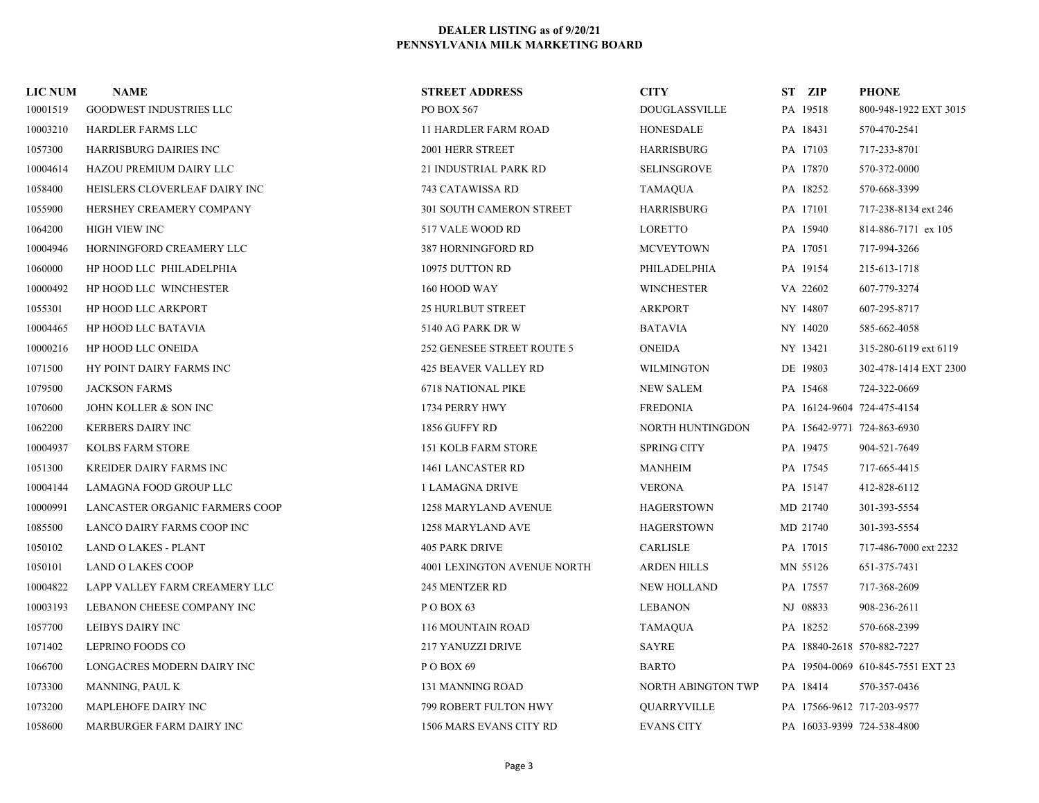| <b>LIC NUM</b> | <b>NAME</b>                    | <b>STREET ADDRESS</b>           | <b>CITY</b>          | ST ZIP   | <b>PHONE</b>                      |
|----------------|--------------------------------|---------------------------------|----------------------|----------|-----------------------------------|
| 10001519       | GOODWEST INDUSTRIES LLC        | PO BOX 567                      | <b>DOUGLASSVILLE</b> | PA 19518 | 800-948-1922 EXT 3015             |
| 10003210       | HARDLER FARMS LLC              | <b>11 HARDLER FARM ROAD</b>     | <b>HONESDALE</b>     | PA 18431 | 570-470-2541                      |
| 1057300        | <b>HARRISBURG DAIRIES INC</b>  | 2001 HERR STREET                | HARRISBURG           | PA 17103 | 717-233-8701                      |
| 10004614       | <b>HAZOU PREMIUM DAIRY LLC</b> | 21 INDUSTRIAL PARK RD           | <b>SELINSGROVE</b>   | PA 17870 | 570-372-0000                      |
| 1058400        | HEISLERS CLOVERLEAF DAIRY INC  | 743 CATAWISSA RD                | TAMAQUA              | PA 18252 | 570-668-3399                      |
| 1055900        | HERSHEY CREAMERY COMPANY       | <b>301 SOUTH CAMERON STREET</b> | <b>HARRISBURG</b>    | PA 17101 | 717-238-8134 ext 246              |
| 1064200        | <b>HIGH VIEW INC</b>           | 517 VALE WOOD RD                | <b>LORETTO</b>       | PA 15940 | 814-886-7171 ex 105               |
| 10004946       | HORNINGFORD CREAMERY LLC       | 387 HORNINGFORD RD              | <b>MCVEYTOWN</b>     | PA 17051 | 717-994-3266                      |
| 1060000        | HP HOOD LLC PHILADELPHIA       | 10975 DUTTON RD                 | PHILADELPHIA         | PA 19154 | 215-613-1718                      |
| 10000492       | HP HOOD LLC WINCHESTER         | 160 HOOD WAY                    | <b>WINCHESTER</b>    | VA 22602 | 607-779-3274                      |
| 1055301        | HP HOOD LLC ARKPORT            | <b>25 HURLBUT STREET</b>        | <b>ARKPORT</b>       | NY 14807 | 607-295-8717                      |
| 10004465       | HP HOOD LLC BATAVIA            | 5140 AG PARK DR W               | <b>BATAVIA</b>       | NY 14020 | 585-662-4058                      |
| 10000216       | HP HOOD LLC ONEIDA             | 252 GENESEE STREET ROUTE 5      | <b>ONEIDA</b>        | NY 13421 | 315-280-6119 ext 6119             |
| 1071500        | HY POINT DAIRY FARMS INC       | <b>425 BEAVER VALLEY RD</b>     | <b>WILMINGTON</b>    | DE 19803 | 302-478-1414 EXT 2300             |
| 1079500        | <b>JACKSON FARMS</b>           | 6718 NATIONAL PIKE              | <b>NEW SALEM</b>     | PA 15468 | 724-322-0669                      |
| 1070600        | JOHN KOLLER & SON INC          | 1734 PERRY HWY                  | <b>FREDONIA</b>      |          | PA 16124-9604 724-475-4154        |
| 1062200        | <b>KERBERS DAIRY INC</b>       | 1856 GUFFY RD                   | NORTH HUNTINGDON     |          | PA 15642-9771 724-863-6930        |
| 10004937       | <b>KOLBS FARM STORE</b>        | 151 KOLB FARM STORE             | <b>SPRING CITY</b>   | PA 19475 | 904-521-7649                      |
| 1051300        | <b>KREIDER DAIRY FARMS INC</b> | 1461 LANCASTER RD               | <b>MANHEIM</b>       | PA 17545 | 717-665-4415                      |
| 10004144       | LAMAGNA FOOD GROUP LLC         | 1 LAMAGNA DRIVE                 | <b>VERONA</b>        | PA 15147 | 412-828-6112                      |
| 10000991       | LANCASTER ORGANIC FARMERS COOP | 1258 MARYLAND AVENUE            | <b>HAGERSTOWN</b>    | MD 21740 | 301-393-5554                      |
| 1085500        | LANCO DAIRY FARMS COOP INC     | 1258 MARYLAND AVE               | <b>HAGERSTOWN</b>    | MD 21740 | 301-393-5554                      |
| 1050102        | LAND O LAKES - PLANT           | <b>405 PARK DRIVE</b>           | CARLISLE             | PA 17015 | 717-486-7000 ext 2232             |
| 1050101        | <b>LAND O LAKES COOP</b>       | 4001 LEXINGTON AVENUE NORTH     | <b>ARDEN HILLS</b>   | MN 55126 | 651-375-7431                      |
| 10004822       | LAPP VALLEY FARM CREAMERY LLC  | 245 MENTZER RD                  | <b>NEW HOLLAND</b>   | PA 17557 | 717-368-2609                      |
| 10003193       | LEBANON CHEESE COMPANY INC     | POBOX <sub>63</sub>             | <b>LEBANON</b>       | NJ 08833 | 908-236-2611                      |
| 1057700        | LEIBYS DAIRY INC               | 116 MOUNTAIN ROAD               | <b>TAMAQUA</b>       | PA 18252 | 570-668-2399                      |
| 1071402        | LEPRINO FOODS CO               | 217 YANUZZI DRIVE               | SAYRE                |          | PA 18840-2618 570-882-7227        |
| 1066700        | LONGACRES MODERN DAIRY INC     | POBOX 69                        | <b>BARTO</b>         |          | PA 19504-0069 610-845-7551 EXT 23 |
| 1073300        | MANNING, PAUL K                | 131 MANNING ROAD                | NORTH ABINGTON TWP   | PA 18414 | 570-357-0436                      |
| 1073200        | MAPLEHOFE DAIRY INC            | <b>799 ROBERT FULTON HWY</b>    | QUARRYVILLE          |          | PA 17566-9612 717-203-9577        |
| 1058600        | MARBURGER FARM DAIRY INC       | 1506 MARS EVANS CITY RD         | <b>EVANS CITY</b>    |          | PA 16033-9399 724-538-4800        |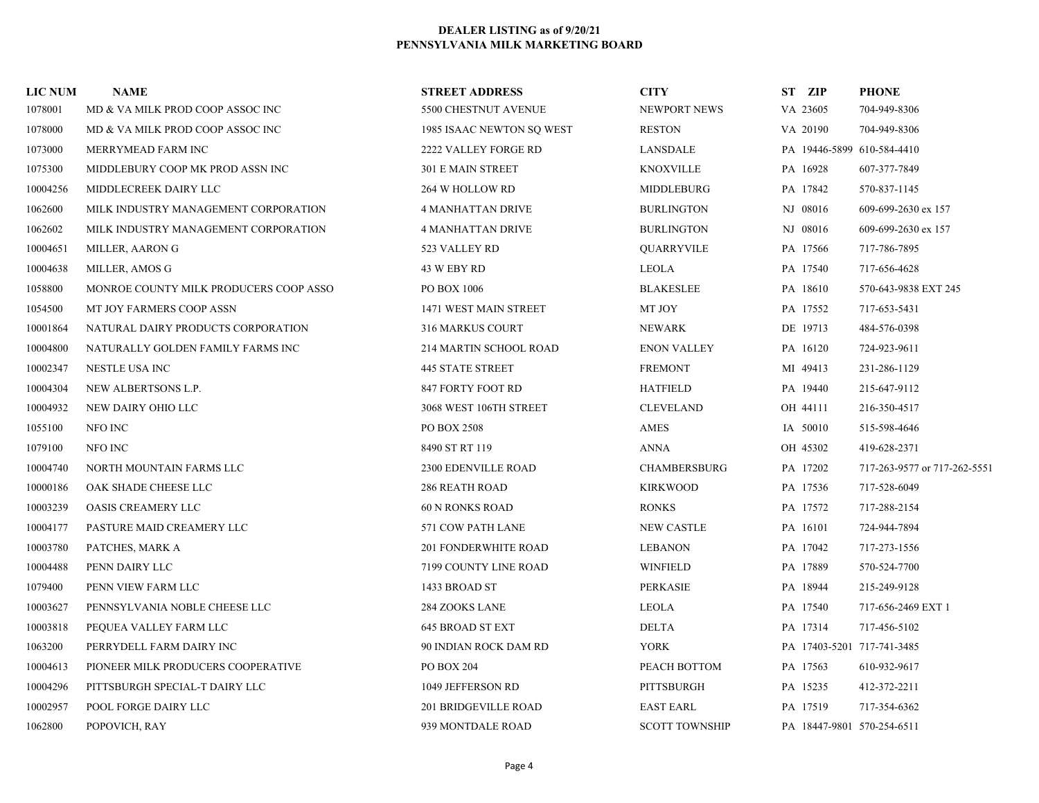| <b>LIC NUM</b> | <b>NAME</b>                            | <b>STREET ADDRESS</b>       | <b>CITY</b>           | ST ZIP   | <b>PHONE</b>                 |
|----------------|----------------------------------------|-----------------------------|-----------------------|----------|------------------------------|
| 1078001        | MD & VA MILK PROD COOP ASSOC INC       | 5500 CHESTNUT AVENUE        | NEWPORT NEWS          | VA 23605 | 704-949-8306                 |
| 1078000        | MD & VA MILK PROD COOP ASSOC INC       | 1985 ISAAC NEWTON SQ WEST   | <b>RESTON</b>         | VA 20190 | 704-949-8306                 |
| 1073000        | MERRYMEAD FARM INC                     | 2222 VALLEY FORGE RD        | LANSDALE              |          | PA 19446-5899 610-584-4410   |
| 1075300        | MIDDLEBURY COOP MK PROD ASSN INC       | <b>301 E MAIN STREET</b>    | <b>KNOXVILLE</b>      | PA 16928 | 607-377-7849                 |
| 10004256       | MIDDLECREEK DAIRY LLC                  | 264 W HOLLOW RD             | MIDDLEBURG            | PA 17842 | 570-837-1145                 |
| 1062600        | MILK INDUSTRY MANAGEMENT CORPORATION   | <b>4 MANHATTAN DRIVE</b>    | <b>BURLINGTON</b>     | NJ 08016 | 609-699-2630 ex 157          |
| 1062602        | MILK INDUSTRY MANAGEMENT CORPORATION   | <b>4 MANHATTAN DRIVE</b>    | <b>BURLINGTON</b>     | NJ 08016 | 609-699-2630 ex 157          |
| 10004651       | MILLER, AARON G                        | 523 VALLEY RD               | QUARRYVILE            | PA 17566 | 717-786-7895                 |
| 10004638       | MILLER, AMOS G                         | 43 W EBY RD                 | LEOLA                 | PA 17540 | 717-656-4628                 |
| 1058800        | MONROE COUNTY MILK PRODUCERS COOP ASSO | PO BOX 1006                 | <b>BLAKESLEE</b>      | PA 18610 | 570-643-9838 EXT 245         |
| 1054500        | MT JOY FARMERS COOP ASSN               | 1471 WEST MAIN STREET       | MT JOY                | PA 17552 | 717-653-5431                 |
| 10001864       | NATURAL DAIRY PRODUCTS CORPORATION     | <b>316 MARKUS COURT</b>     | <b>NEWARK</b>         | DE 19713 | 484-576-0398                 |
| 10004800       | NATURALLY GOLDEN FAMILY FARMS INC      | 214 MARTIN SCHOOL ROAD      | <b>ENON VALLEY</b>    | PA 16120 | 724-923-9611                 |
| 10002347       | NESTLE USA INC                         | 445 STATE STREET            | <b>FREMONT</b>        | MI 49413 | 231-286-1129                 |
| 10004304       | NEW ALBERTSONS L.P.                    | 847 FORTY FOOT RD           | <b>HATFIELD</b>       | PA 19440 | 215-647-9112                 |
| 10004932       | NEW DAIRY OHIO LLC                     | 3068 WEST 106TH STREET      | <b>CLEVELAND</b>      | OH 44111 | 216-350-4517                 |
| 1055100        | NFO INC                                | PO BOX 2508                 | AMES                  | IA 50010 | 515-598-4646                 |
| 1079100        | NFO INC                                | 8490 ST RT 119              | <b>ANNA</b>           | OH 45302 | 419-628-2371                 |
| 10004740       | NORTH MOUNTAIN FARMS LLC               | <b>2300 EDENVILLE ROAD</b>  | <b>CHAMBERSBURG</b>   | PA 17202 | 717-263-9577 or 717-262-5551 |
| 10000186       | OAK SHADE CHEESE LLC                   | <b>286 REATH ROAD</b>       | <b>KIRKWOOD</b>       | PA 17536 | 717-528-6049                 |
| 10003239       | <b>OASIS CREAMERY LLC</b>              | <b>60 N RONKS ROAD</b>      | <b>RONKS</b>          | PA 17572 | 717-288-2154                 |
| 10004177       | PASTURE MAID CREAMERY LLC              | 571 COW PATH LANE           | <b>NEW CASTLE</b>     | PA 16101 | 724-944-7894                 |
| 10003780       | PATCHES, MARK A                        | <b>201 FONDERWHITE ROAD</b> | <b>LEBANON</b>        | PA 17042 | 717-273-1556                 |
| 10004488       | PENN DAIRY LLC                         | 7199 COUNTY LINE ROAD       | <b>WINFIELD</b>       | PA 17889 | 570-524-7700                 |
| 1079400        | PENN VIEW FARM LLC                     | 1433 BROAD ST               | <b>PERKASIE</b>       | PA 18944 | 215-249-9128                 |
| 10003627       | PENNSYLVANIA NOBLE CHEESE LLC          | 284 ZOOKS LANE              | <b>LEOLA</b>          | PA 17540 | 717-656-2469 EXT 1           |
| 10003818       | PEQUEA VALLEY FARM LLC                 | 645 BROAD ST EXT            | <b>DELTA</b>          | PA 17314 | 717-456-5102                 |
| 1063200        | PERRYDELL FARM DAIRY INC               | 90 INDIAN ROCK DAM RD       | <b>YORK</b>           |          | PA 17403-5201 717-741-3485   |
| 10004613       | PIONEER MILK PRODUCERS COOPERATIVE     | PO BOX 204                  | PEACH BOTTOM          | PA 17563 | 610-932-9617                 |
| 10004296       | PITTSBURGH SPECIAL-T DAIRY LLC         | 1049 JEFFERSON RD           | PITTSBURGH            | PA 15235 | 412-372-2211                 |
| 10002957       | POOL FORGE DAIRY LLC                   | <b>201 BRIDGEVILLE ROAD</b> | <b>EAST EARL</b>      | PA 17519 | 717-354-6362                 |
| 1062800        | POPOVICH, RAY                          | 939 MONTDALE ROAD           | <b>SCOTT TOWNSHIP</b> |          | PA 18447-9801 570-254-6511   |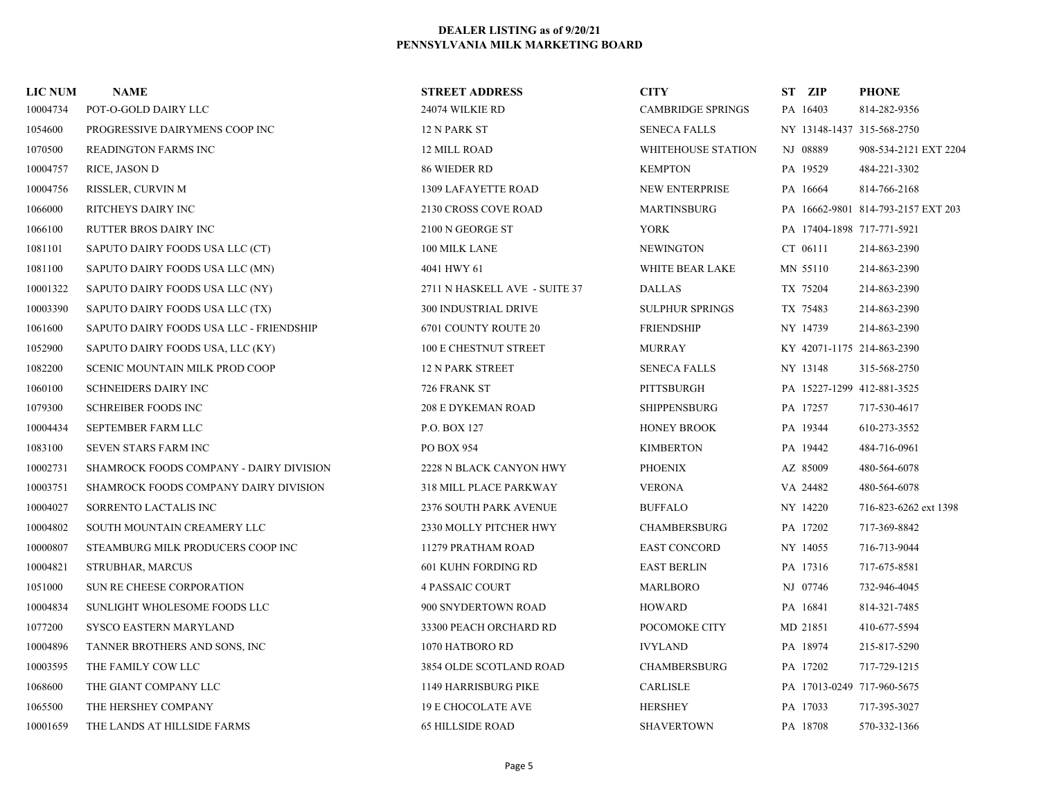| <b>LIC NUM</b> | <b>NAME</b>                             | <b>STREET ADDRESS</b>         | <b>CITY</b>              | ST ZIP                     | <b>PHONE</b>                       |
|----------------|-----------------------------------------|-------------------------------|--------------------------|----------------------------|------------------------------------|
| 10004734       | POT-O-GOLD DAIRY LLC                    | 24074 WILKIE RD               | <b>CAMBRIDGE SPRINGS</b> | PA 16403                   | 814-282-9356                       |
| 1054600        | PROGRESSIVE DAIRYMENS COOP INC          | 12 N PARK ST                  | <b>SENECA FALLS</b>      | NY 13148-1437 315-568-2750 |                                    |
| 1070500        | <b>READINGTON FARMS INC</b>             | 12 MILL ROAD                  | WHITEHOUSE STATION       | NJ 08889                   | 908-534-2121 EXT 2204              |
| 10004757       | RICE, JASON D                           | 86 WIEDER RD                  | <b>KEMPTON</b>           | PA 19529                   | 484-221-3302                       |
| 10004756       | RISSLER, CURVIN M                       | 1309 LAFAYETTE ROAD           | NEW ENTERPRISE           | PA 16664                   | 814-766-2168                       |
| 1066000        | RITCHEYS DAIRY INC                      | 2130 CROSS COVE ROAD          | <b>MARTINSBURG</b>       |                            | PA 16662-9801 814-793-2157 EXT 203 |
| 1066100        | <b>RUTTER BROS DAIRY INC</b>            | 2100 N GEORGE ST              | <b>YORK</b>              | PA 17404-1898 717-771-5921 |                                    |
| 1081101        | SAPUTO DAIRY FOODS USA LLC (CT)         | 100 MILK LANE                 | <b>NEWINGTON</b>         | CT 06111                   | 214-863-2390                       |
| 1081100        | SAPUTO DAIRY FOODS USA LLC (MN)         | 4041 HWY 61                   | WHITE BEAR LAKE          | MN 55110                   | 214-863-2390                       |
| 10001322       | SAPUTO DAIRY FOODS USA LLC (NY)         | 2711 N HASKELL AVE - SUITE 37 | <b>DALLAS</b>            | TX 75204                   | 214-863-2390                       |
| 10003390       | SAPUTO DAIRY FOODS USA LLC (TX)         | <b>300 INDUSTRIAL DRIVE</b>   | <b>SULPHUR SPRINGS</b>   | TX 75483                   | 214-863-2390                       |
| 1061600        | SAPUTO DAIRY FOODS USA LLC - FRIENDSHIP | 6701 COUNTY ROUTE 20          | <b>FRIENDSHIP</b>        | NY 14739                   | 214-863-2390                       |
| 1052900        | SAPUTO DAIRY FOODS USA, LLC (KY)        | 100 E CHESTNUT STREET         | <b>MURRAY</b>            | KY 42071-1175 214-863-2390 |                                    |
| 1082200        | SCENIC MOUNTAIN MILK PROD COOP          | <b>12 N PARK STREET</b>       | <b>SENECA FALLS</b>      | NY 13148                   | 315-568-2750                       |
| 1060100        | <b>SCHNEIDERS DAIRY INC</b>             | 726 FRANK ST                  | PITTSBURGH               | PA 15227-1299 412-881-3525 |                                    |
| 1079300        | <b>SCHREIBER FOODS INC</b>              | <b>208 E DYKEMAN ROAD</b>     | <b>SHIPPENSBURG</b>      | PA 17257                   | 717-530-4617                       |
| 10004434       | SEPTEMBER FARM LLC                      | P.O. BOX 127                  | <b>HONEY BROOK</b>       | PA 19344                   | 610-273-3552                       |
| 1083100        | SEVEN STARS FARM INC                    | PO BOX 954                    | <b>KIMBERTON</b>         | PA 19442                   | 484-716-0961                       |
| 10002731       | SHAMROCK FOODS COMPANY - DAIRY DIVISION | 2228 N BLACK CANYON HWY       | <b>PHOENIX</b>           | AZ 85009                   | 480-564-6078                       |
| 10003751       | SHAMROCK FOODS COMPANY DAIRY DIVISION   | 318 MILL PLACE PARKWAY        | <b>VERONA</b>            | VA 24482                   | 480-564-6078                       |
| 10004027       | SORRENTO LACTALIS INC                   | 2376 SOUTH PARK AVENUE        | <b>BUFFALO</b>           | NY 14220                   | 716-823-6262 ext 1398              |
| 10004802       | SOUTH MOUNTAIN CREAMERY LLC             | 2330 MOLLY PITCHER HWY        | <b>CHAMBERSBURG</b>      | PA 17202                   | 717-369-8842                       |
| 10000807       | STEAMBURG MILK PRODUCERS COOP INC       | 11279 PRATHAM ROAD            | <b>EAST CONCORD</b>      | NY 14055                   | 716-713-9044                       |
| 10004821       | STRUBHAR, MARCUS                        | 601 KUHN FORDING RD           | <b>EAST BERLIN</b>       | PA 17316                   | 717-675-8581                       |
| 1051000        | SUN RE CHEESE CORPORATION               | <b>4 PASSAIC COURT</b>        | <b>MARLBORO</b>          | NJ 07746                   | 732-946-4045                       |
| 10004834       | SUNLIGHT WHOLESOME FOODS LLC            | 900 SNYDERTOWN ROAD           | <b>HOWARD</b>            | PA 16841                   | 814-321-7485                       |
| 1077200        | <b>SYSCO EASTERN MARYLAND</b>           | 33300 PEACH ORCHARD RD        | POCOMOKE CITY            | MD 21851                   | 410-677-5594                       |
| 10004896       | TANNER BROTHERS AND SONS, INC           | 1070 HATBORO RD               | <b>IVYLAND</b>           | PA 18974                   | 215-817-5290                       |
| 10003595       | THE FAMILY COW LLC                      | 3854 OLDE SCOTLAND ROAD       | <b>CHAMBERSBURG</b>      | PA 17202                   | 717-729-1215                       |
| 1068600        | THE GIANT COMPANY LLC                   | 1149 HARRISBURG PIKE          | <b>CARLISLE</b>          | PA 17013-0249 717-960-5675 |                                    |
| 1065500        | THE HERSHEY COMPANY                     | <b>19 E CHOCOLATE AVE</b>     | <b>HERSHEY</b>           | PA 17033                   | 717-395-3027                       |
| 10001659       | THE LANDS AT HILLSIDE FARMS             | <b>65 HILLSIDE ROAD</b>       | <b>SHAVERTOWN</b>        | PA 18708                   | 570-332-1366                       |